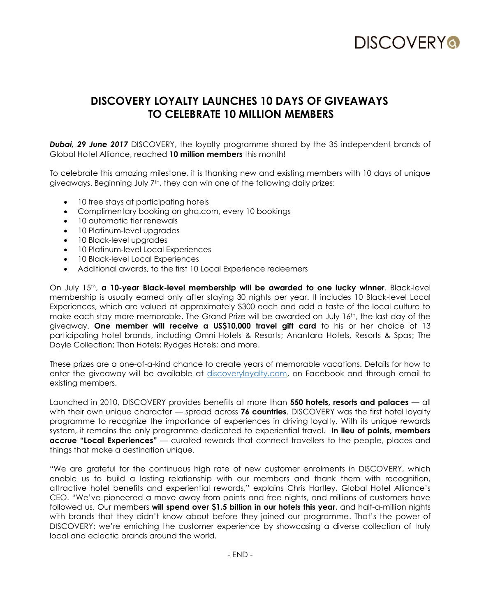

# **DISCOVERY LOYALTY LAUNCHES 10 DAYS OF GIVEAWAYS TO CELEBRATE 10 MILLION MEMBERS**

**Dubai, 29 June 2017** DISCOVERY, the loyalty programme shared by the 35 independent brands of Global Hotel Alliance, reached **10 million members** this month!

To celebrate this amazing milestone, it is thanking new and existing members with 10 days of unique giveaways. Beginning July  $7<sup>th</sup>$ , they can win one of the following daily prizes:

- 10 free stays at participating hotels
- Complimentary booking on gha.com, every 10 bookings
- 10 automatic tier renewals
- 10 Platinum-level upgrades
- 10 Black-level upgrades
- 10 Platinum-level Local Experiences
- 10 Black-level Local Experiences
- Additional awards, to the first 10 Local Experience redeemers

On July 15th, **a 10-year Black-level membership will be awarded to one lucky winner**. Black-level membership is usually earned only after staying 30 nights per year. It includes 10 Black-level Local Experiences, which are valued at approximately \$300 each and add a taste of the local culture to make each stay more memorable. The Grand Prize will be awarded on July 16th, the last day of the giveaway. **One member will receive a US\$10,000 travel gift card** to his or her choice of 13 participating hotel brands, including Omni Hotels & Resorts; Anantara Hotels, Resorts & Spas; The Doyle Collection; Thon Hotels; Rydges Hotels; and more.

These prizes are a one-of-a-kind chance to create years of memorable vacations. Details for how to enter the giveaway will be available at discoveryloyalty.com, on Facebook and through email to existing members.

Launched in 2010, DISCOVERY provides benefits at more than **550 hotels, resorts and palaces** — all with their own unique character — spread across **76 countries**. DISCOVERY was the first hotel loyalty programme to recognize the importance of experiences in driving loyalty. With its unique rewards system, it remains the only programme dedicated to experiential travel. **In lieu of points, members accrue "Local Experiences"** — curated rewards that connect travellers to the people, places and things that make a destination unique.

"We are grateful for the continuous high rate of new customer enrolments in DISCOVERY, which enable us to build a lasting relationship with our members and thank them with recognition, attractive hotel benefits and experiential rewards," explains Chris Hartley, Global Hotel Alliance's CEO. "We've pioneered a move away from points and free nights, and millions of customers have followed us. Our members **will spend over \$1.5 billion in our hotels this year**, and half-a-million nights with brands that they didn't know about before they joined our programme. That's the power of DISCOVERY: we're enriching the customer experience by showcasing a diverse collection of truly local and eclectic brands around the world.